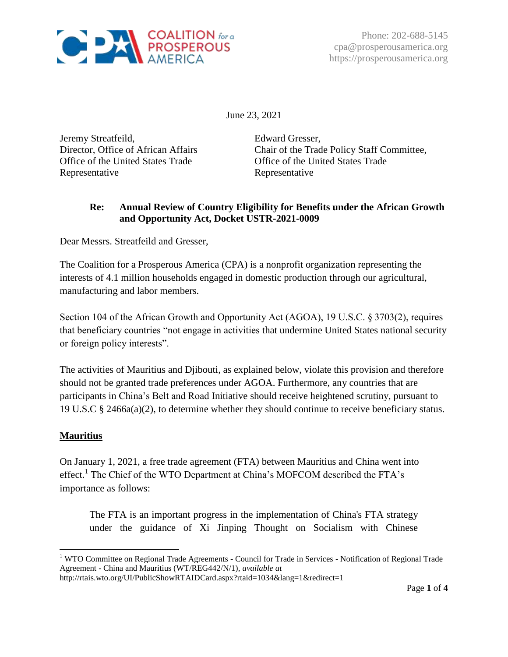

Phone: 202-688-5145 cpa@prosperousamerica.org https://prosperousamerica.org

June 23, 2021

Jeremy Streatfeild, Director, Office of African Affairs Office of the United States Trade Representative

Edward Gresser, Chair of the Trade Policy Staff Committee, Office of the United States Trade Representative

# **Re: Annual Review of Country Eligibility for Benefits under the African Growth and Opportunity Act, Docket USTR-2021-0009**

Dear Messrs. Streatfeild and Gresser,

The Coalition for a Prosperous America (CPA) is a nonprofit organization representing the interests of 4.1 million households engaged in domestic production through our agricultural, manufacturing and labor members.

Section 104 of the African Growth and Opportunity Act (AGOA), 19 U.S.C. § 3703(2), requires that beneficiary countries "not engage in activities that undermine United States national security or foreign policy interests".

The activities of Mauritius and Djibouti, as explained below, violate this provision and therefore should not be granted trade preferences under AGOA. Furthermore, any countries that are participants in China's Belt and Road Initiative should receive heightened scrutiny, pursuant to 19 U.S.C § 2466a(a)(2), to determine whether they should continue to receive beneficiary status.

## **Mauritius**

 $\overline{a}$ 

On January 1, 2021, a free trade agreement (FTA) between Mauritius and China went into effect.<sup>1</sup> The Chief of the WTO Department at China's MOFCOM described the FTA's importance as follows:

The FTA is an important progress in the implementation of China's FTA strategy under the guidance of Xi Jinping Thought on Socialism with Chinese

<sup>&</sup>lt;sup>1</sup> WTO Committee on Regional Trade Agreements - Council for Trade in Services - Notification of Regional Trade Agreement - China and Mauritius (WT/REG442/N/1), *available at* 

http://rtais.wto.org/UI/PublicShowRTAIDCard.aspx?rtaid=1034&lang=1&redirect=1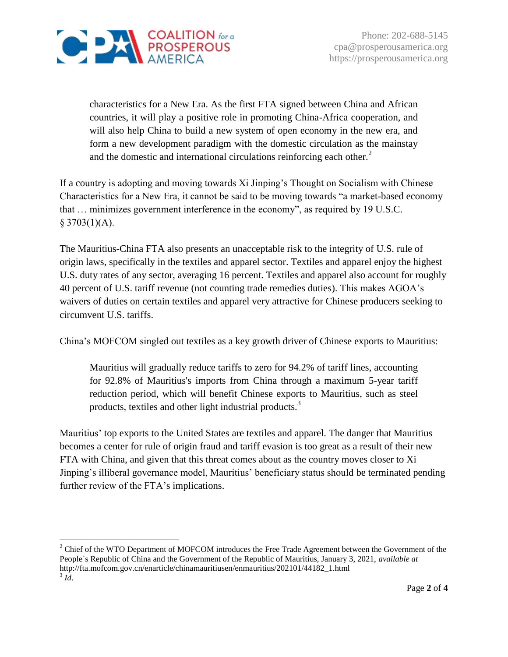

characteristics for a New Era. As the first FTA signed between China and African countries, it will play a positive role in promoting China-Africa cooperation, and will also help China to build a new system of open economy in the new era, and form a new development paradigm with the domestic circulation as the mainstay and the domestic and international circulations reinforcing each other.<sup>2</sup>

If a country is adopting and moving towards Xi Jinping's Thought on Socialism with Chinese Characteristics for a New Era, it cannot be said to be moving towards "a market-based economy that … minimizes government interference in the economy", as required by 19 U.S.C.  $§$  3703(1)(A).

The Mauritius-China FTA also presents an unacceptable risk to the integrity of U.S. rule of origin laws, specifically in the textiles and apparel sector. Textiles and apparel enjoy the highest U.S. duty rates of any sector, averaging 16 percent. Textiles and apparel also account for roughly 40 percent of U.S. tariff revenue (not counting trade remedies duties). This makes AGOA's waivers of duties on certain textiles and apparel very attractive for Chinese producers seeking to circumvent U.S. tariffs.

China's MOFCOM singled out textiles as a key growth driver of Chinese exports to Mauritius:

Mauritius will gradually reduce tariffs to zero for 94.2% of tariff lines, accounting for 92.8% of Mauritius's imports from China through a maximum 5-year tariff reduction period, which will benefit Chinese exports to Mauritius, such as steel products, textiles and other light industrial products.<sup>3</sup>

Mauritius' top exports to the United States are textiles and apparel. The danger that Mauritius becomes a center for rule of origin fraud and tariff evasion is too great as a result of their new FTA with China, and given that this threat comes about as the country moves closer to Xi Jinping's illiberal governance model, Mauritius' beneficiary status should be terminated pending further review of the FTA's implications.

 $\overline{a}$ <sup>2</sup> Chief of the WTO Department of MOFCOM introduces the Free Trade Agreement between the Government of the People`s Republic of China and the Government of the Republic of Mauritius, January 3, 2021, *available at*  http://fta.mofcom.gov.cn/enarticle/chinamauritiusen/enmauritius/202101/44182\_1.html 3 *Id*.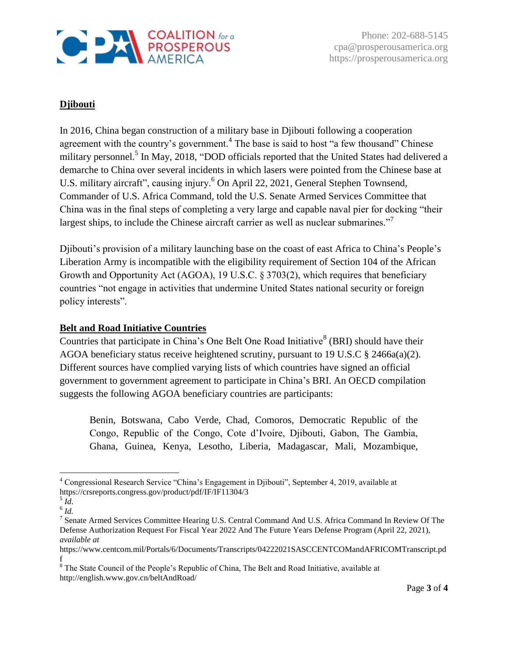

Phone: 202-688-5145 cpa@prosperousamerica.org https://prosperousamerica.org

# **Djibouti**

In 2016, China began construction of a military base in Djibouti following a cooperation agreement with the country's government.<sup>4</sup> The base is said to host "a few thousand" Chinese military personnel.<sup>5</sup> In May, 2018, "DOD officials reported that the United States had delivered a demarche to China over several incidents in which lasers were pointed from the Chinese base at U.S. military aircraft", causing injury.<sup>6</sup> On April 22, 2021, General Stephen Townsend, Commander of U.S. Africa Command, told the U.S. Senate Armed Services Committee that China was in the final steps of completing a very large and capable naval pier for docking "their largest ships, to include the Chinese aircraft carrier as well as nuclear submarines."<sup>7</sup>

Djibouti's provision of a military launching base on the coast of east Africa to China's People's Liberation Army is incompatible with the eligibility requirement of Section 104 of the African Growth and Opportunity Act (AGOA), 19 U.S.C. § 3703(2), which requires that beneficiary countries "not engage in activities that undermine United States national security or foreign policy interests".

#### **Belt and Road Initiative Countries**

Countries that participate in China's One Belt One Road Initiative  $8$  (BRI) should have their AGOA beneficiary status receive heightened scrutiny, pursuant to 19 U.S.C § 2466a(a)(2). Different sources have complied varying lists of which countries have signed an official government to government agreement to participate in China's BRI. An OECD compilation suggests the following AGOA beneficiary countries are participants:

Benin, Botswana, Cabo Verde, Chad, Comoros, Democratic Republic of the Congo, Republic of the Congo, Cote d'Ivoire, Djibouti, Gabon, The Gambia, Ghana, Guinea, Kenya, Lesotho, Liberia, Madagascar, Mali, Mozambique,

 $\overline{a}$ 

<sup>4</sup> Congressional Research Service "China's Engagement in Djibouti", September 4, 2019, available at https://crsreports.congress.gov/product/pdf/IF/IF11304/3

<sup>5</sup> *Id*.

<sup>6</sup> *Id.*

<sup>&</sup>lt;sup>7</sup> Senate Armed Services Committee Hearing U.S. Central Command And U.S. Africa Command In Review Of The Defense Authorization Request For Fiscal Year 2022 And The Future Years Defense Program (April 22, 2021), *available at* 

https://www.centcom.mil/Portals/6/Documents/Transcripts/04222021SASCCENTCOMandAFRICOMTranscript.pd f

<sup>&</sup>lt;sup>8</sup> The State Council of the People's Republic of China, The Belt and Road Initiative, available at http://english.www.gov.cn/beltAndRoad/